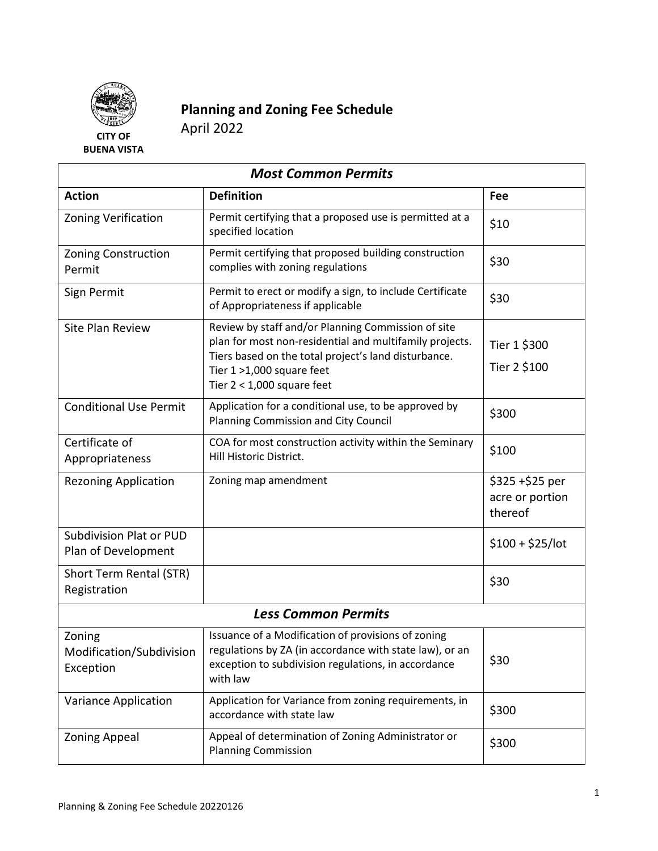

## **Planning and Zoning Fee Schedule** April 2022

**BUENA VISTA**

| <b>Most Common Permits</b>                            |                                                                                                                                                                                                                                    |                                                |  |
|-------------------------------------------------------|------------------------------------------------------------------------------------------------------------------------------------------------------------------------------------------------------------------------------------|------------------------------------------------|--|
| <b>Action</b>                                         | <b>Definition</b>                                                                                                                                                                                                                  | Fee                                            |  |
| <b>Zoning Verification</b>                            | Permit certifying that a proposed use is permitted at a<br>specified location                                                                                                                                                      | \$10                                           |  |
| <b>Zoning Construction</b><br>Permit                  | Permit certifying that proposed building construction<br>complies with zoning regulations                                                                                                                                          | \$30                                           |  |
| Sign Permit                                           | Permit to erect or modify a sign, to include Certificate<br>of Appropriateness if applicable                                                                                                                                       | \$30                                           |  |
| Site Plan Review                                      | Review by staff and/or Planning Commission of site<br>plan for most non-residential and multifamily projects.<br>Tiers based on the total project's land disturbance.<br>Tier 1 >1,000 square feet<br>Tier $2 < 1,000$ square feet | Tier 1 \$300<br>Tier 2 \$100                   |  |
| <b>Conditional Use Permit</b>                         | Application for a conditional use, to be approved by<br>Planning Commission and City Council                                                                                                                                       | \$300                                          |  |
| Certificate of<br>Appropriateness                     | COA for most construction activity within the Seminary<br>Hill Historic District.                                                                                                                                                  | \$100                                          |  |
| <b>Rezoning Application</b>                           | Zoning map amendment                                                                                                                                                                                                               | $$325 + $25$ per<br>acre or portion<br>thereof |  |
| <b>Subdivision Plat or PUD</b><br>Plan of Development |                                                                                                                                                                                                                                    | $$100 + $25/$ lot                              |  |
| Short Term Rental (STR)<br>Registration               |                                                                                                                                                                                                                                    | \$30                                           |  |
| <b>Less Common Permits</b>                            |                                                                                                                                                                                                                                    |                                                |  |
| Zoning<br>Modification/Subdivision<br>Exception       | Issuance of a Modification of provisions of zoning<br>regulations by ZA (in accordance with state law), or an<br>exception to subdivision regulations, in accordance<br>with law                                                   | \$30                                           |  |
| Variance Application                                  | Application for Variance from zoning requirements, in<br>accordance with state law                                                                                                                                                 | \$300                                          |  |
| <b>Zoning Appeal</b>                                  | Appeal of determination of Zoning Administrator or<br><b>Planning Commission</b>                                                                                                                                                   | \$300                                          |  |